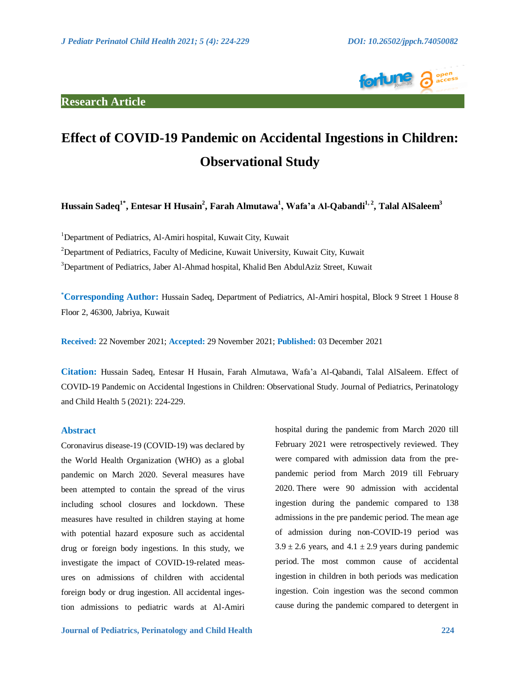# **Research Article**



# **Effect of COVID-19 Pandemic on Accidental Ingestions in Children: Observational Study**

Hussain Sadeq<sup>1\*</sup>, Entesar H Husain<sup>2</sup>, Farah Almutawa<sup>1</sup>, Wafa'a Al-Qabandi<sup>1,2</sup>, Talal AlSaleem<sup>3</sup>

<sup>1</sup>Department of Pediatrics, Al-Amiri hospital, Kuwait City, Kuwait

<sup>2</sup>Department of Pediatrics, Faculty of Medicine, Kuwait University, Kuwait City, Kuwait

<sup>3</sup>Department of Pediatrics, Jaber Al-Ahmad hospital, Khalid Ben AbdulAziz Street, Kuwait

**\* Corresponding Author:** Hussain Sadeq, Department of Pediatrics, Al-Amiri hospital, Block 9 Street 1 House 8 Floor 2, 46300, Jabriya, Kuwait

**Received:** 22 November 2021; **Accepted:** 29 November 2021; **Published:** 03 December 2021

**Citation:** Hussain Sadeq, Entesar H Husain, Farah Almutawa, Wafa'a Al-Qabandi, Talal AlSaleem. Effect of COVID-19 Pandemic on Accidental Ingestions in Children: Observational Study. Journal of Pediatrics, Perinatology and Child Health 5 (2021): 224-229.

# **Abstract**

Coronavirus disease-19 (COVID-19) was declared by the World Health Organization (WHO) as a global pandemic on March 2020. Several measures have been attempted to contain the spread of the virus including school closures and lockdown. These measures have resulted in children staying at home with potential hazard exposure such as accidental drug or foreign body ingestions. In this study, we investigate the impact of COVID-19-related measures on admissions of children with accidental foreign body or drug ingestion. All accidental ingestion admissions to pediatric wards at Al-Amiri hospital during the pandemic from March 2020 till February 2021 were retrospectively reviewed. They were compared with admission data from the prepandemic period from March 2019 till February 2020. There were 90 admission with accidental ingestion during the pandemic compared to 138 admissions in the pre pandemic period. The mean age of admission during non-COVID-19 period was  $3.9 \pm 2.6$  years, and  $4.1 \pm 2.9$  years during pandemic period. The most common cause of accidental ingestion in children in both periods was medication ingestion. Coin ingestion was the second common cause during the pandemic compared to detergent in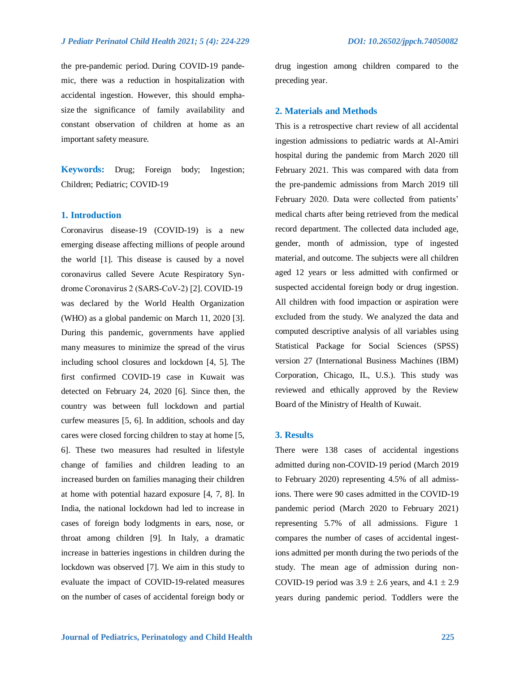the pre-pandemic period. During COVID-19 pandemic, there was a reduction in hospitalization with accidental ingestion. However, this should emphasize the significance of family availability and constant observation of children at home as an important safety measure.

**Keywords:** Drug; Foreign body; Ingestion; Children; Pediatric; COVID-19

# **1. Introduction**

Coronavirus disease-19 (COVID-19) is a new emerging disease affecting millions of people around the world [1]. This disease is caused by a novel coronavirus called Severe Acute Respiratory Syndrome Coronavirus 2 (SARS‐CoV‐2) [2]. COVID-19 was declared by the World Health Organization (WHO) as a global pandemic on March 11, 2020 [3]. During this pandemic, governments have applied many measures to minimize the spread of the virus including school closures and lockdown [4, 5]. The first confirmed COVID-19 case in Kuwait was detected on February 24, 2020 [6]. Since then, the country was between full lockdown and partial curfew measures [5, 6]. In addition, schools and day cares were closed forcing children to stay at home [5, 6]. These two measures had resulted in lifestyle change of families and children leading to an increased burden on families managing their children at home with potential hazard exposure [4, 7, 8]. In India, the national lockdown had led to increase in cases of foreign body lodgments in ears, nose, or throat among children [9]. In Italy, a dramatic increase in batteries ingestions in children during the lockdown was observed [7]. We aim in this study to evaluate the impact of COVID-19-related measures on the number of cases of accidental foreign body or drug ingestion among children compared to the preceding year.

### **2. Materials and Methods**

This is a retrospective chart review of all accidental ingestion admissions to pediatric wards at Al-Amiri hospital during the pandemic from March 2020 till February 2021. This was compared with data from the pre-pandemic admissions from March 2019 till February 2020. Data were collected from patients' medical charts after being retrieved from the medical record department. The collected data included age, gender, month of admission, type of ingested material, and outcome. The subjects were all children aged 12 years or less admitted with confirmed or suspected accidental foreign body or drug ingestion. All children with food impaction or aspiration were excluded from the study. We analyzed the data and computed descriptive analysis of all variables using Statistical Package for Social Sciences (SPSS) version 27 (International Business Machines (IBM) Corporation, Chicago, IL, U.S.). This study was reviewed and ethically approved by the Review Board of the Ministry of Health of Kuwait.

### **3. Results**

There were 138 cases of accidental ingestions admitted during non-COVID-19 period (March 2019 to February 2020) representing 4.5% of all admissions. There were 90 cases admitted in the COVID-19 pandemic period (March 2020 to February 2021) representing 5.7% of all admissions. Figure 1 compares the number of cases of accidental ingestions admitted per month during the two periods of the study. The mean age of admission during non-COVID-19 period was  $3.9 \pm 2.6$  years, and  $4.1 \pm 2.9$ years during pandemic period. Toddlers were the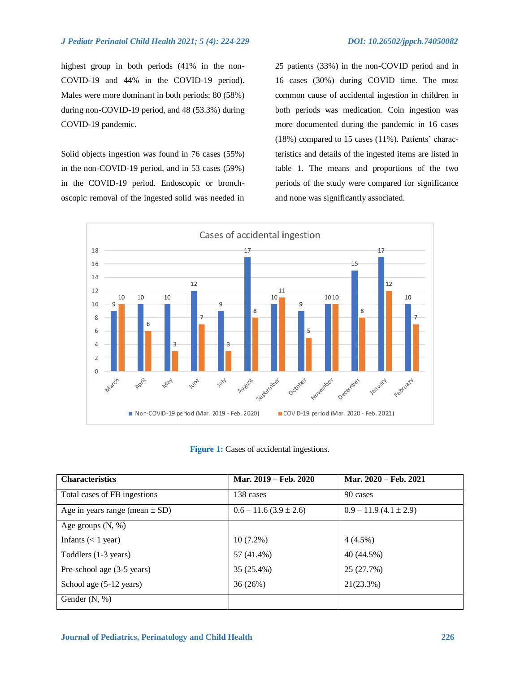### *J Pediatr Perinatol Child Health 2021; 5 (4): 224-229 DOI: 10.26502/jppch.74050082*

highest group in both periods (41% in the non-COVID-19 and 44% in the COVID-19 period). Males were more dominant in both periods; 80 (58%) during non-COVID-19 period, and 48 (53.3%) during COVID-19 pandemic.

Solid objects ingestion was found in 76 cases (55%) in the non-COVID-19 period, and in 53 cases (59%) in the COVID-19 period. Endoscopic or bronchoscopic removal of the ingested solid was needed in

25 patients (33%) in the non-COVID period and in 16 cases (30%) during COVID time. The most common cause of accidental ingestion in children in both periods was medication. Coin ingestion was more documented during the pandemic in 16 cases (18%) compared to 15 cases (11%). Patients' characteristics and details of the ingested items are listed in table 1. The means and proportions of the two periods of the study were compared for significance and none was significantly associated.



**Figure 1:** Cases of accidental ingestions.

| <b>Characteristics</b>             | Mar. 2019 – Feb. 2020     | Mar. 2020 - Feb. 2021     |
|------------------------------------|---------------------------|---------------------------|
| Total cases of FB ingestions       | 138 cases                 | 90 cases                  |
| Age in years range (mean $\pm$ SD) | $0.6 - 11.6(3.9 \pm 2.6)$ | $0.9 - 11.9(4.1 \pm 2.9)$ |
| Age groups $(N, %)$                |                           |                           |
| Infants $(< 1$ year)               | $10(7.2\%)$               | $4(4.5\%)$                |
| Toddlers (1-3 years)               | 57 (41.4%)                | 40 (44.5%)                |
| Pre-school age (3-5 years)         | 35 (25.4%)                | 25 (27.7%)                |
| School age (5-12 years)            | 36 (26%)                  | 21(23.3%)                 |
| Gender $(N, %)$                    |                           |                           |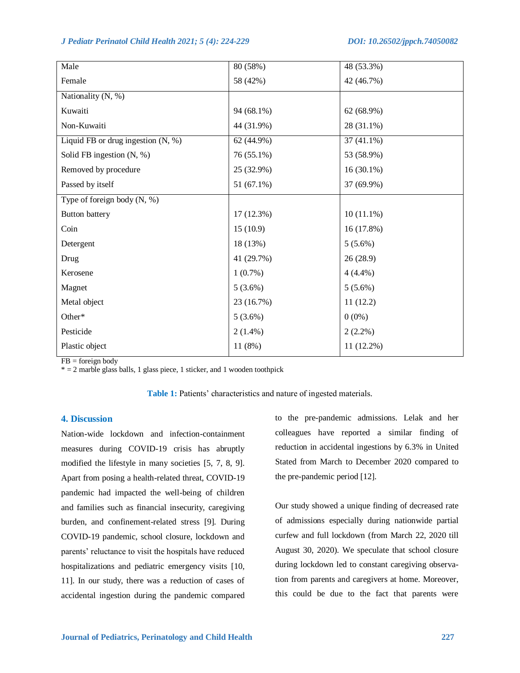*J Pediatr Perinatol Child Health 2021; 5 (4): 224-229 DOI: 10.26502/jppch.74050082*

| Male                                 | 80(58%)    | 48 (53.3%)   |
|--------------------------------------|------------|--------------|
| Female                               | 58 (42%)   | 42 (46.7%)   |
| Nationality (N, %)                   |            |              |
| Kuwaiti                              | 94 (68.1%) | 62 (68.9%)   |
| Non-Kuwaiti                          | 44 (31.9%) | 28 (31.1%)   |
| Liquid FB or drug ingestion $(N, %)$ | 62 (44.9%) | $37(41.1\%)$ |
| Solid FB ingestion $(N, %)$          | 76 (55.1%) | 53 (58.9%)   |
| Removed by procedure                 | 25 (32.9%) | $16(30.1\%)$ |
| Passed by itself                     | 51 (67.1%) | 37 (69.9%)   |
| Type of foreign body $(N, %)$        |            |              |
| <b>Button battery</b>                | 17(12.3%)  | $10(11.1\%)$ |
| Coin                                 | 15(10.9)   | 16(17.8%)    |
| Detergent                            | 18 (13%)   | $5(5.6\%)$   |
| Drug                                 | 41 (29.7%) | 26(28.9)     |
| Kerosene                             | $1(0.7\%)$ | $4(4.4\%)$   |
| Magnet                               | $5(3.6\%)$ | $5(5.6\%)$   |
| Metal object                         | 23 (16.7%) | 11(12.2)     |
| Other*                               | $5(3.6\%)$ | $0(0\%)$     |
| Pesticide                            | $2(1.4\%)$ | $2(2.2\%)$   |
| Plastic object                       | 11(8%)     | 11 (12.2%)   |

 $FB = foreign body$ 

 $* = 2$  marble glass balls, 1 glass piece, 1 sticker, and 1 wooden toothpick

# **4. Discussion**

Nation-wide lockdown and infection-containment measures during COVID-19 crisis has abruptly modified the lifestyle in many societies [5, 7, 8, 9]. Apart from posing a health-related threat, COVID-19 pandemic had impacted the well-being of children and families such as financial insecurity, caregiving burden, and confinement-related stress [9]. During COVID-19 pandemic, school closure, lockdown and parents' reluctance to visit the hospitals have reduced hospitalizations and pediatric emergency visits [10, 11]. In our study, there was a reduction of cases of accidental ingestion during the pandemic compared

to the pre-pandemic admissions. Lelak and her colleagues have reported a similar finding of reduction in accidental ingestions by 6.3% in United Stated from March to December 2020 compared to the pre-pandemic period [12].

Our study showed a unique finding of decreased rate of admissions especially during nationwide partial curfew and full lockdown (from March 22, 2020 till August 30, 2020). We speculate that school closure during lockdown led to constant caregiving observation from parents and caregivers at home. Moreover, this could be due to the fact that parents were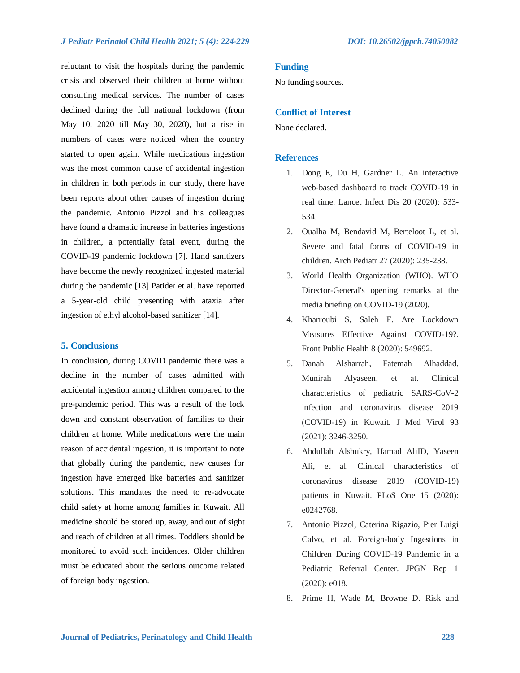# *J Pediatr Perinatol Child Health 2021; 5 (4): 224-229 DOI: 10.26502/jppch.74050082*

reluctant to visit the hospitals during the pandemic crisis and observed their children at home without consulting medical services. The number of cases declined during the full national lockdown (from May 10, 2020 till May 30, 2020), but a rise in numbers of cases were noticed when the country started to open again. While medications ingestion was the most common cause of accidental ingestion in children in both periods in our study, there have been reports about other causes of ingestion during the pandemic. Antonio Pizzol and his colleagues have found a dramatic increase in batteries ingestions in children, a potentially fatal event, during the COVID-19 pandemic lockdown [7]. Hand sanitizers have become the newly recognized ingested material during the pandemic [13] Patider et al. have reported a 5-year-old child presenting with ataxia after ingestion of ethyl alcohol-based sanitizer [14].

### **5. Conclusions**

In conclusion, during COVID pandemic there was a decline in the number of cases admitted with accidental ingestion among children compared to the pre-pandemic period. This was a result of the lock down and constant observation of families to their children at home. While medications were the main reason of accidental ingestion, it is important to note that globally during the pandemic, new causes for ingestion have emerged like batteries and sanitizer solutions. This mandates the need to re-advocate child safety at home among families in Kuwait. All medicine should be stored up, away, and out of sight and reach of children at all times. Toddlers should be monitored to avoid such incidences. Older children must be educated about the serious outcome related of foreign body ingestion.

### **Funding**

No funding sources.

### **Conflict of Interest**

None declared.

### **References**

- 1. Dong E, Du H, Gardner L. An interactive web-based dashboard to track COVID-19 in real time. Lancet Infect Dis 20 (2020): 533- 534.
- 2. Oualha M, Bendavid M, Berteloot L, et al. Severe and fatal forms of COVID-19 in children. Arch Pediatr 27 (2020): 235-238.
- 3. World Health Organization (WHO). WHO Director-General's opening remarks at the media briefing on COVID-19 (2020).
- 4. Kharroubi S, Saleh F. Are Lockdown Measures Effective Against COVID-19?. Front Public Health 8 (2020): 549692.
- 5. Danah Alsharrah, Fatemah Alhaddad, Munirah Alyaseen, et at. Clinical characteristics of pediatric SARS-CoV-2 infection and coronavirus disease 2019 (COVID-19) in Kuwait. J Med Virol 93 (2021): 3246-3250.
- 6. Abdullah Alshukry, Hamad AliID, Yaseen Ali, et al. Clinical characteristics of coronavirus disease 2019 (COVID-19) patients in Kuwait. PLoS One 15 (2020): e0242768.
- 7. Antonio Pizzol, Caterina Rigazio, Pier Luigi Calvo, et al. Foreign-body Ingestions in Children During COVID-19 Pandemic in a Pediatric Referral Center. JPGN Rep 1 (2020): e018.
- 8. Prime H, Wade M, Browne D. Risk and